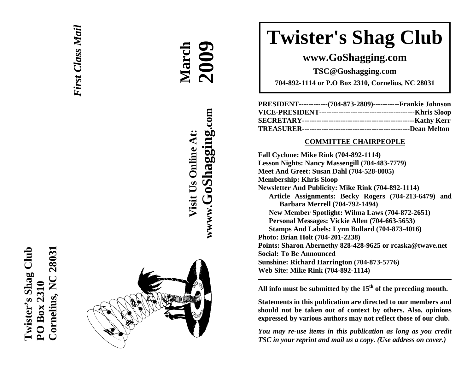



**March 2009**

**Visit Us Online At:**

Visit Us Online At:

**wwww.GoShagging.com**

www.GoShagging.com

# **Twister's Shag Club**

## **www.GoShagging.com**

**TSC@Goshagging.com** 

**704-892-1114 or P.O Box 2310, Cornelius, NC 28031** 

| PRESIDENT-------------(704-873-2809)------------Frankie Johnson |  |
|-----------------------------------------------------------------|--|
|                                                                 |  |
|                                                                 |  |
|                                                                 |  |

#### **COMMITTEE CHAIRPEOPLE**

**Fall Cyclone: Mike Rink (704-892-1114) Lesson Nights: Nancy Massengill (704-483-7779) Meet And Greet: Susan Dahl (704-528-8005) Membership: Khris Sloop Newsletter And Publicity: Mike Rink (704-892-1114) Article Assignments: Becky Rogers (704-213-6479) and Barbara Merrell (704-792-1494) New Member Spotlight: Wilma Laws (704-872-2651) Personal Messages: Vickie Allen (704-663-5653) Stamps And Labels: Lynn Bullard (704-873-4016) Photo: Brian Holt (704-201-2238) Points: Sharon Abernethy 828-428-9625 or rcaska@twave.net Social: To Be Announced Sunshine: Richard Harrington (704-873-5776) Web Site: Mike Rink (704-892-1114)** 

**All info must be submitted by the 15th of the preceding month.** 

**Statements in this publication are directed to our members and should not be taken out of context by others. Also, opinions expressed by various authors may not reflect those of our club.** 

*You may re-use items in this publication as long as you credit TSC in your reprint and mail us a copy. (Use address on cover.)*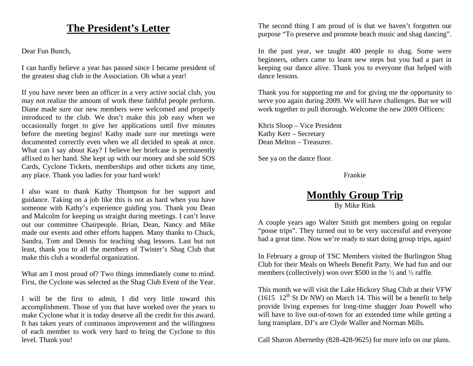## **The President's Letter**

Dear Fun Bunch,

I can hardly believe a year has passed since I became president of the greatest shag club in the Association. Oh what a year!

If you have never been an officer in a very active social club, you may not realize the amount of work these faithful people perform. Diane made sure our new members were welcomed and properly introduced to the club. We don't make this job easy when we occasionally forget to give her applications until five minutes before the meeting begins! Kathy made sure our meetings were documented correctly even when we all decided to speak at once. What can I say about Kay? I believe her briefcase is permanently affixed to her hand. She kept up with our money and she sold SOS Cards, Cyclone Tickets, memberships and other tickets any time, any place. Thank you ladies for your hard work!

I also want to thank Kathy Thompson for her support and guidance. Taking on a job like this is not as hard when you have someone with Kathy's experience guiding you. Thank you Dean and Malcolm for keeping us straight during meetings. I can't leave out our committee Chairpeople. Brian, Dean, Nancy and Mike made our events and other efforts happen. Many thanks to Chuck, Sandra, Tom and Dennis for teaching shag lessons. Last but not least, thank you to all the members of Twister's Shag Club that make this club a wonderful organization.

What am I most proud of? Two things immediately come to mind. First, the Cyclone was selected as the Shag Club Event of the Year.

I will be the first to admit, I did very little toward this accomplishment. Those of you that have worked over the years to make Cyclone what it is today deserve all the credit for this award. It has taken years of continuous improvement and the willingness of each member to work very hard to bring the Cyclone to this level. Thank you!

The second thing I am proud of is that we haven't forgotten our purpose "To preserve and promote beach music and shag dancing".

In the past year, we taught 400 people to shag. Some were beginners, others came to learn new steps but you had a part in keeping our dance alive. Thank you to everyone that helped with dance lessons.

Thank you for supporting me and for giving me the opportunity to serve you again during 2009. We will have challenges. But we will work together to pull thorough. Welcome the new 2009 Officers:

Khris Sloop – Vice President Kathy Kerr – Secretary Dean Melton – Treasurer.

See ya on the dance floor.

Frankie

## **Monthly Group Trip**

By Mike Rink

A couple years ago Walter Smith got members going on regular "posse trips". They turned out to be very successful and everyone had a great time. Now we're ready to start doing group trips, again!

In February a group of TSC Members visited the Burlington Shag Club for their Meals on Wheels Benefit Party. We had fun and our members (collectively) won over \$500 in the  $\frac{1}{2}$  and  $\frac{1}{2}$  raffle.

This month we will visit the Lake Hickory Shag Club at their VFW (1615  $12<sup>th</sup>$  St Dr NW) on March 14. This will be a benefit to help provide living expenses for long-time shagger Joan Powell who will have to live out-of-town for an extended time while getting a lung transplant. DJ's are Clyde Waller and Norman Mills.

Call Sharon Abernethy (828-428-9625) for more info on our plans.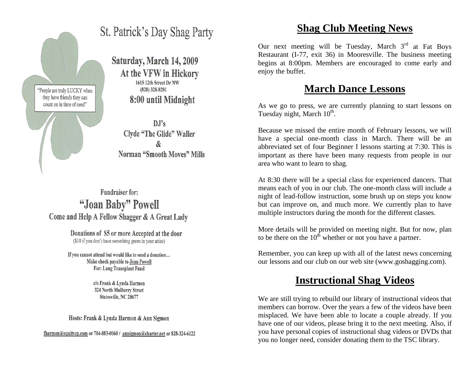

## St. Patrick's Day Shag Party

Saturday, March 14, 2009 At the VFW in Hickory 1615 12th Street Dr NW  $(828)$  328-8281 8:00 until Midnight

 $\mathbf{D}.\mathbf{I}'\mathbf{s}$ **Clyde "The Glide" Waller** Norman "Smooth Moves" Mills

Fundraiser for: "Joan Baby" Powell Come and Help A Fellow Shagger & A Great Lady

> Donations of \$5 or more Accepted at the door (\$10 if you don't have something green in your attire)

If you cannot attend but would like to send a donation... Make check pavable to Joan Powell For: Lung Transplant Fund

> c/o Frank & Lynda Harmon 324 North Mulberry Street Statesville, NC 28677

Hosts: Frank & Lynda Harmon & Ann Sigmon

fharmon@equitycp.com or 704-883-0060 / amsigmon@charter.net or 828-324-6122

## **Shag Club Meeting News**

Our next meeting will be Tuesday, March  $3<sup>rd</sup>$  at Fat Boys Restaurant (I-77, exit 36) in Mooresville. The business meeting begins at 8:00pm. Members are encouraged to come early and enjoy the buffet.

## **March Dance Lessons**

As we go to press, we are currently planning to start lessons on Tuesday night, March  $10^{th}$ .

Because we missed the entire month of February lessons, we will have a special one-month class in March. There will be an abbreviated set of four Beginner I lessons starting at 7:30. This is important as there have been many requests from people in our area who want to learn to shag.

At 8:30 there will be a special class for experienced dancers. That means each of you in our club. The one-month class will include a night of lead-follow instruction, some brush up on steps you know but can improve on, and much more. We currently plan to have multiple instructors during the month for the different classes.

More details will be provided on meeting night. But for now, plan to be there on the  $10^{th}$  whether or not you have a partner.

Remember, you can keep up with all of the latest news concerning our lessons and our club on our web site (www.goshagging.com).

## **Instructional Shag Videos**

We are still trying to rebuild our library of instructional videos that members can borrow. Over the years a few of the videos have been misplaced. We have been able to locate a couple already. If you have one of our videos, please bring it to the next meeting. Also, if you have personal copies of instructional shag videos or DVDs that you no longer need, consider donating them to the TSC library.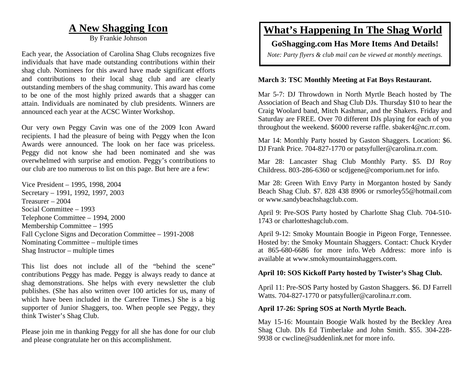## **A New Shagging Icon**

By Frankie Johnson

Each year, the Association of Carolina Shag Clubs recognizes five individuals that have made outstanding contributions within their shag club. Nominees for this award have made significant efforts and contributions to their local shag club and are clearly outstanding members of the shag community. This award has come to be one of the most highly prized awards that a shagger can attain. Individuals are nominated by club presidents. Winners are announced each year at the ACSC Winter Workshop.

Our very own Peggy Cavin was one of the 2009 Icon Award recipients. I had the pleasure of being with Peggy when the Icon Awards were announced. The look on her face was priceless. Peggy did not know she had been nominated and she was overwhelmed with surprise and emotion. Peggy's contributions to our club are too numerous to list on this page. But here are a few:

Vice President – 1995, 1998, 2004 Secretary – 1991, 1992, 1997, 2003 Treasurer – 2004 Social Committee – 1993 Telephone Committee – 1994, 2000 Membership Committee – 1995 Fall Cyclone Signs and Decoration Committee – 1991-2008 Nominating Committee – multiple times Shag Instructor – multiple times

This list does not include all of the "behind the scene" contributions Peggy has made. Peggy is always ready to dance at shag demonstrations. She helps with every newsletter the club publishes. (She has also written over 100 articles for us, many of which have been included in the Carefree Times.) She is a big supporter of Junior Shaggers, too. When people see Peggy, they think Twister's Shag Club.

Please join me in thanking Peggy for all she has done for our club and please congratulate her on this accomplishment.

## **What's Happening In The Shag World**

#### **GoShagging.com Has More Items And Details!**

*Note: Party flyers & club mail can be viewed at monthly meetings.* 

#### **March 3: TSC Monthly Meeting at Fat Boys Restaurant.**

Mar 5-7: DJ Throwdown in North Myrtle Beach hosted by The Association of Beach and Shag Club DJs. Thursday \$10 to hear the Craig Woolard band, Mitch Kashmar, and the Shakers. Friday and Saturday are FREE. Over 70 different DJs playing for each of you throughout the weekend. \$6000 reverse raffle. sbaker4@nc.rr.com.

Mar 14: Monthly Party hosted by Gaston Shaggers. Location: \$6. DJ Frank Price. 704-827-1770 or patsyfuller@carolina.rr.com.

Mar 28: Lancaster Shag Club Monthly Party. \$5. DJ Roy Childress. 803-286-6360 or scdjgene@comporium.net for info.

Mar 28: Green With Envy Party in Morganton hosted by Sandy Beach Shag Club. \$7. 828 438 8906 or rsmorley55@hotmail.com or www.sandybeachshagclub.com.

April 9: Pre-SOS Party hosted by Charlotte Shag Club. 704-510- 1743 or charlotteshagclub.com.

April 9-12: Smoky Mountain Boogie in Pigeon Forge, Tennessee. Hosted by: the Smoky Mountain Shaggers. Contact: Chuck Kryder at 865-680-6686 for more info. Web Address: more info is available at www.smokymountainshaggers.com.

#### **April 10: SOS Kickoff Party hosted by Twister's Shag Club.**

April 11: Pre-SOS Party hosted by Gaston Shaggers. \$6. DJ Farrell Watts. 704-827-1770 or patsyfuller@carolina.rr.com.

#### **April 17-26: Spring SOS at North Myrtle Beach.**

May 15-16: Mountain Boogie Walk hosted by the Beckley Area Shag Club. DJs Ed Timberlake and John Smith. \$55. 304-228- 9938 or cwcline@suddenlink.net for more info.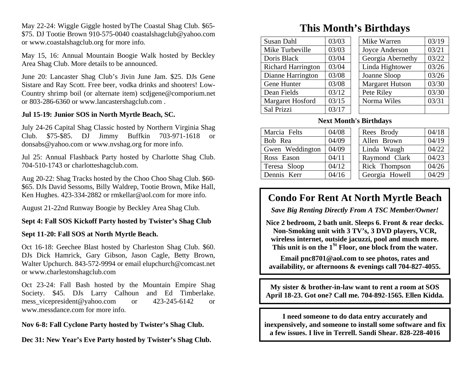May 22-24: Wiggle Giggle hosted byThe Coastal Shag Club. \$65- \$75. DJ Tootie Brown 910-575-0040 coastalshagclub@yahoo.com or www.coastalshagclub.org for more info.

May 15, 16: Annual Mountain Boogie Walk hosted by Beckley Area Shag Club. More details to be announced.

June 20: Lancaster Shag Club's Jivin June Jam. \$25. DJs Gene Sistare and Ray Scott. Free beer, vodka drinks and shooters! Low-Country shrimp boil (or alternate item) scdjgene@comporium.net or 803-286-6360 or www.lancastershagclub.com .

#### **Jul 15-19: Junior SOS in North Myrtle Beach, SC.**

July 24-26 Capital Shag Classic hosted by Northern Virginia Shag Club. \$75-\$85. DJ Jimmy Buffkin 703-971-1618 or donsabs@yahoo.com or www.nvshag.org for more info.

Jul 25: Annual Flashback Party hosted by Charlotte Shag Club. 704-510-1743 or charlotteshagclub.com.

Aug 20-22: Shag Tracks hosted by the Choo Choo Shag Club. \$60- \$65. DJs David Sessoms, Billy Waldrep, Tootie Brown, Mike Hall, Ken Hughes. 423-334-2882 or rmkellar@aol.com for more info.

August 21-22nd Runway Boogie by Beckley Area Shag Club.

#### **Sept 4: Fall SOS Kickoff Party hosted by Twister's Shag Club**

#### **Sept 11-20: Fall SOS at North Myrtle Beach.**

Oct 16-18: Geechee Blast hosted by Charleston Shag Club. \$60. DJs Dick Hamrick, Gary Gibson, Jason Cagle, Betty Brown, Walter Upchurch. 843-572-9994 or email elupchurch@comcast.net or www.charlestonshagclub.com

Oct 23-24: Fall Bash hosted by the Mountain Empire Shag Society. \$45. DJs Larry Calhoun and Ed Timberlake. mess vicepresident@yahoo.com or 423-245-6142 or www.messdance.com for more info.

#### **Nov 6-8: Fall Cyclone Party hosted by Twister's Shag Club.**

**Dec 31: New Year's Eve Party hosted by Twister's Shag Club.** 

## **This Month's Birthdays**

| 03/03 | Mike Warren            | 03/19 |
|-------|------------------------|-------|
| 03/03 | Joyce Anderson         | 03/21 |
| 03/04 | Georgia Abernethy      | 03/22 |
| 03/04 | Linda Hightower        | 03/26 |
| 03/08 | Joanne Sloop           | 03/26 |
| 03/08 | <b>Margaret Hutson</b> | 03/30 |
| 03/12 | Pete Riley             | 03/30 |
| 03/15 | Norma Wiles            | 03/31 |
| 03/17 |                        |       |
|       |                        |       |

#### **Next Month's Birthdays**

| 04/18<br>Rees Brody     |
|-------------------------|
| 04/19<br>Allen Brown    |
| 04/22<br>Linda Waugh    |
| 04/23<br>Raymond Clark  |
| 04/26<br>Rick Thompson  |
| 04/29<br>Georgia Howell |
|                         |

### **Condo For Rent At North Myrtle Beach**

*Save Big Renting Directly From A TSC Member/Owner!* 

**Nice 2 bedroom, 2 bath unit. Sleeps 6. Front & rear decks. Non-Smoking unit with 3 TV's, 3 DVD players, VCR, wireless internet, outside jacuzzi, pool and much more. This unit is on the 1St Floor, one block from the water.** 

**Email pnc8701@aol.com to see photos, rates and availability, or afternoons & evenings call 704-827-4055.** 

**My sister & brother-in-law want to rent a room at SOS April 18-23. Got one? Call me. 704-892-1565. Ellen Kidda.** 

**I need someone to do data entry accurately and inexpensively, and someone to install some software and fix a few issues. I live in Terrell. Sandi Shear. 828-228-4016**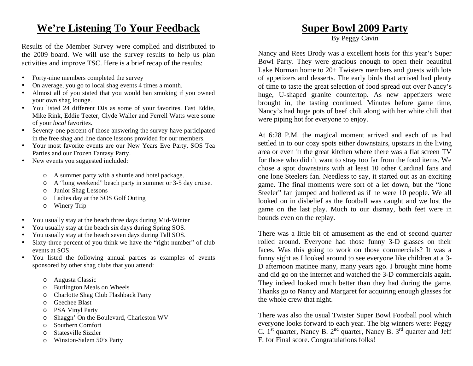## **We're Listening To Your Feedback**

Results of the Member Survey were complied and distributed to the 2009 board. We will use the survey results to help us plan activities and improve TSC. Here is a brief recap of the results:

- •Forty-nine members completed the survey
- •On average, you go to local shag events 4 times a month.
- • Almost all of you stated that you would ban smoking if you owned your own shag lounge.
- • You listed 24 different DJs as some of your favorites. Fast Eddie, Mike Rink, Eddie Teeter, Clyde Waller and Ferrell Watts were some of your *local* favorites.
- Seventy-one percent of those answering the survey have participated in the free shag and line dance lessons provided for our members.
- Your most favorite events are our New Years Eve Party, SOS Tea Parties and our Frozen Fantasy Party.
- New events you suggested included:
	- <sup>o</sup> A summer party with a shuttle and hotel package.
	- <sup>o</sup> A "long weekend" beach party in summer or 3-5 day cruise.
	- <sup>o</sup> Junior Shag Lessons
	- <sup>o</sup> Ladies day at the SOS Golf Outing
	- <sup>o</sup> Winery Trip
- •You usually stay at the beach three days during Mid-Winter
- •You usually stay at the beach six days during Spring SOS.
- •You usually stay at the beach seven days during Fall SOS.
- • Sixty-three percent of you think we have the "right number" of club events at SOS.
- • You listed the following annual parties as examples of events sponsored by other shag clubs that you attend:
	- <sup>o</sup> Augusta Classic
	- <sup>o</sup> Burlington Meals on Wheels
	- <sup>o</sup> Charlotte Shag Club Flashback Party
	- <sup>o</sup> Geechee Blast
	- <sup>o</sup> PSA Vinyl Party
	- <sup>o</sup> Shaggn' On the Boulevard, Charleston WV
	- <sup>o</sup> Southern Comfort
	- <sup>o</sup> Statesville Sizzler
	- <sup>o</sup> Winston-Salem 50's Party

## **Super Bowl 2009 Party**

By Peggy Cavin

Nancy and Rees Brody was a excellent hosts for this year's Super Bowl Party. They were gracious enough to open their beautiful Lake Norman home to 20+ Twisters members and guests with lots of appetizers and desserts. The early birds that arrived had plenty of time to taste the great selection of food spread out over Nancy's huge, U-shaped granite countertop. As new appetizers were brought in, the tasting continued. Minutes before game time, Nancy's had huge pots of beef chili along with her white chili that were piping hot for everyone to enjoy.

At 6:28 P.M. the magical moment arrived and each of us had settled in to our cozy spots either downstairs, upstairs in the living area or even in the great kitchen where there was a flat screen TV for those who didn't want to stray too far from the food items. We chose a spot downstairs with at least 10 other Cardinal fans and one lone Steelers fan. Needless to say, it started out as an exciting game. The final moments were sort of a let down, but the "lone Steeler" fan jumped and hollered as if he were 10 people. We all looked on in disbelief as the football was caught and we lost the game on the last play. Much to our dismay, both feet were in bounds even on the replay.

There was a little bit of amusement as the end of second quarter rolled around. Everyone had those funny 3-D glasses on their faces. Was this going to work on those commercials? It was a funny sight as I looked around to see everyone like children at a 3- D afternoon matinee many, many years ago. I brought mine home and did go on the internet and watched the 3-D commercials again. They indeed looked much better than they had during the game. Thanks go to Nancy and Margaret for acquiring enough glasses for the whole crew that night.

There was also the usual Twister Super Bowl Football pool which everyone looks forward to each year. The big winners were: Peggy C.  $1^{st}$  quarter, Nancy B.  $2^{nd}$  quarter, Nancy B.  $3^{rd}$  quarter and Jeff F. for Final score. Congratulations folks!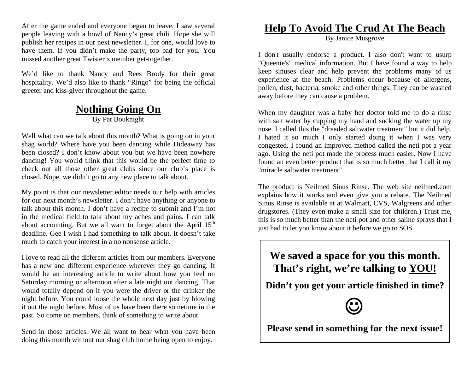After the game ended and everyone began to leave, I saw several people leaving with a bowl of Nancy's great chili. Hope she will publish her recipes in our next newsletter. I, for one, would love to have them. If you didn't make the party, too bad for you. You missed another great Twister's member get-together.

We'd like to thank Nancy and Rees Brody for their great hospitality. We'd also like to thank "Ringo" for being the official greeter and kiss-giver throughout the game.

#### **Nothing Going On** By Pat Bouknight

Well what can we talk about this month? What is going on in your shag world? Where have you been dancing while Hideaway has been closed? I don't know about you but we have been nowhere dancing! You would think that this would be the perfect time to check out all those other great clubs since our club's place is closed. Nope, we didn't go to any new place to talk about.

My point is that our newsletter editor needs our help with articles for our next month's newsletter. I don't have anything or anyone to talk about this month. I don't have a recipe to submit and I'm not in the medical field to talk about my aches and pains. I can talk about accounting. But we all want to forget about the April  $15<sup>th</sup>$ deadline. Gee I wish I had something to talk about. It doesn't take much to catch your interest in a no nonsense article.

I love to read all the different articles from our members. Everyone has a new and different experience wherever they go dancing. It would be an interesting article to write about how you feel on Saturday morning or afternoon after a late night out dancing. That would totally depend on if you were the driver or the drinker the night before. You could loose the whole next day just by blowing it out the night before. Most of us have been there sometime in the past. So come on members, think of something to write about.

Send in those articles. We all want to hear what you have been doing this month without our shag club home being open to enjoy.

## **Help To Avoid The Crud At The Beach**

By Janice Musgrove

I don't usually endorse a product. I also don't want to usurp "Queenie's" medical information. But I have found a way to help keep sinuses clear and help prevent the problems many of us experience at the beach. Problems occur because of allergens, pollen, dust, bacteria, smoke and other things. They can be washed away before they can cause a problem.

When my daughter was a baby her doctor told me to do a rinse with salt water by cupping my hand and sucking the water up my nose. I called this the "dreaded saltwater treatment" but it did help. I hated it so much I only started doing it when I was very congested. I found an improved method called the neti pot a year ago. Using the neti pot made the process much easier. Now I have found an even better product that is so much better that I call it my "miracle saltwater treatment".

The product is Neilmed Sinus Rinse. The web site neilmed.com explains how it works and even give you a rebate. The Neilmed Sinus Rinse is available at at Walmart, CVS, Walgreens and other drugstores. (They even make a small size for children.) Trust me, this is so much better than the neti pot and other saline sprays that I just had to let you know about it before we go to SOS.